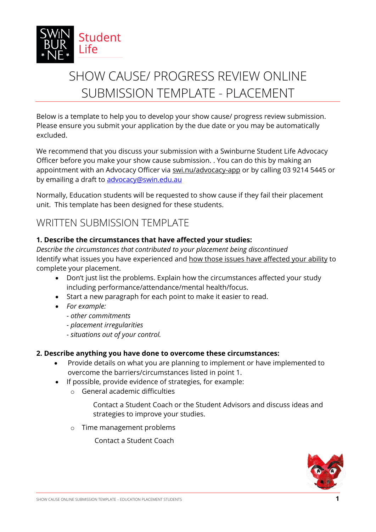

# SHOW CAUSE/ PROGRESS REVIEW ONLINE SUBMISSION TEMPLATE - PLACEMENT

Below is a template to help you to develop your show cause/ progress review submission. Please ensure you submit your application by the due date or you may be automatically excluded.

We recommend that you discuss your submission with a Swinburne Student Life Advocacy Officer before you make your show cause submission. . You can do this by making an appointment with an Advocacy Officer via [swi.nu/advocacy-app](https://outlook.office365.com/owa/calendar/Bookings_Advocacy@swin.edu.au/bookings/) or by calling 03 9214 5445 or by emailing a draft to advocacy@swin.edu.au

Normally, Education students will be requested to show cause if they fail their placement unit. This template has been designed for these students.

## WRITTEN SUBMISSION TEMPLATE

### **1. Describe the circumstances that have affected your studies:**

*Describe the circumstances that contributed to your placement being discontinued* Identify what issues you have experienced and how those issues have affected your ability to complete your placement.

- Don't just list the problems. Explain how the circumstances affected your study including performance/attendance/mental health/focus.
- Start a new paragraph for each point to make it easier to read.
- *For example:*
	- *- other commitments*
	- *- placement irregularities*
	- *- situations out of your control.*

### **2. Describe anything you have done to overcome these circumstances:**

- Provide details on what you are planning to implement or have implemented to overcome the barriers/circumstances listed in point 1.
- If possible, provide evidence of strategies, for example:
	- o General academic difficulties

Contact a Student Coach or the Student Advisors and discuss ideas and strategies to improve your studies.

o Time management problems

Contact a Student Coach

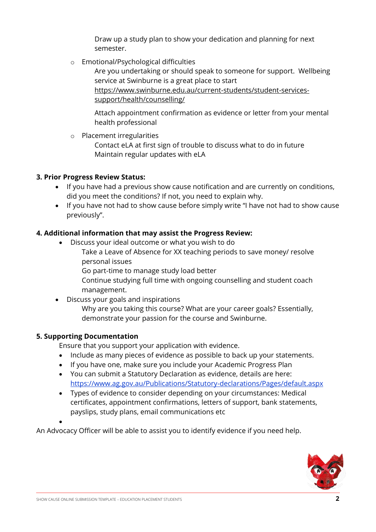Draw up a study plan to show your dedication and planning for next semester.

o Emotional/Psychological difficulties

Are you undertaking or should speak to someone for support. Wellbeing service at Swinburne is a great place to start https://www.swinburne.edu.au/current-students/student-services-

support/health/counselling/

Attach appointment confirmation as evidence or letter from your mental health professional

o Placement irregularities

Contact eLA at first sign of trouble to discuss what to do in future Maintain regular updates with eLA

### **3. Prior Progress Review Status:**

- If you have had a previous show cause notification and are currently on conditions, did you meet the conditions? If not, you need to explain why.
- If you have not had to show cause before simply write "I have not had to show cause previously".

### **4. Additional information that may assist the Progress Review:**

- Discuss your ideal outcome or what you wish to do
	- Take a Leave of Absence for XX teaching periods to save money/ resolve personal issues
		- Go part-time to manage study load better
		- Continue studying full time with ongoing counselling and student coach management.
- Discuss your goals and inspirations

Why are you taking this course? What are your career goals? Essentially, demonstrate your passion for the course and Swinburne.

### **5. Supporting Documentation**

Ensure that you support your application with evidence.

- Include as many pieces of evidence as possible to back up your statements.
- If you have one, make sure you include your Academic Progress Plan
- You can submit a Statutory Declaration as evidence, details are here: <https://www.ag.gov.au/Publications/Statutory-declarations/Pages/default.aspx>
- Types of evidence to consider depending on your circumstances: Medical certificates, appointment confirmations, letters of support, bank statements, payslips, study plans, email communications etc

 $\bullet$ 

An Advocacy Officer will be able to assist you to identify evidence if you need help.